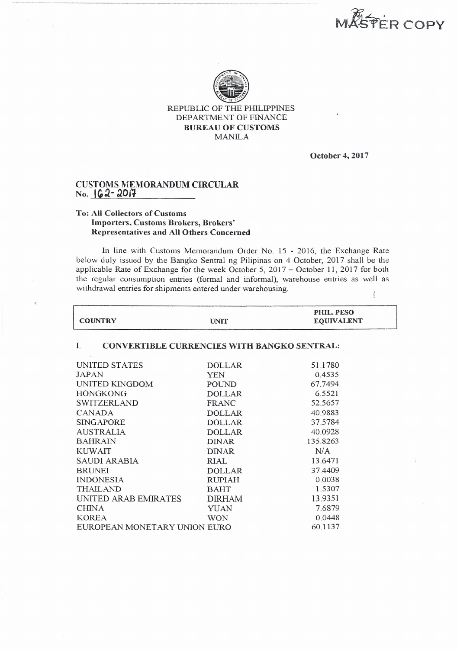**MASPER COPY** 



REPUBLIC OF THE PHJLIPPINES DEPARTMENT OF FINANCE BUREAU OF CUSTOMS MANILA

October 4,2017

7.6879 0.0448 60.1137

## CUSTOMS MEMORANDUM CIRCULAR No. **62-2017**

-------\_ ..\_-----------\_.\_-. -----, ...--.--.-------.----~-,----.-.--..-..----.

## To: All Collectors of Customs Importers, Customs Brokers, Brokers' Representatives and All Others Concerned

CHINA YUAN KOREA WON EUROPEAN MONETARY UNION EURO

In line with Customs Memorandum Order No 15 - 2016, the Exchange Rate below duly issued by the Bangko Sentral ng Pilipinas on 4 October, 2017 shall be the applicable Rate of Exchange for the week October 5, 2017 - October 11, 2017 for both the regular consumption entries (formal and informal), warehouse entries as well as withdrawal entries for shipments entered under warehousing.  $\ddot{i}$ 

| <b>COUNTRY</b>                                          | <b>UNIT</b>   | <b>PHIL. PESO</b><br><b>EQUIVALENT</b> |  |
|---------------------------------------------------------|---------------|----------------------------------------|--|
| <b>CONVERTIBLE CURRENCIES WITH BANGKO SENTRAL:</b><br>L |               |                                        |  |
| UNITED STATES                                           | <b>DOLLAR</b> | 51.1780                                |  |
| JAPAN                                                   | YEN           | 0.4535                                 |  |
| UNITED KINGDOM                                          | <b>POUND</b>  | 67.7494                                |  |
| <b>HONGKONG</b>                                         | <b>DOLLAR</b> | 6.5521                                 |  |
| SWITZERLAND                                             | <b>FRANC</b>  | 52.5657                                |  |
| CANADA                                                  | <b>DOLLAR</b> | 40.9883                                |  |
| <b>SINGAPORE</b>                                        | <b>DOLLAR</b> | 37.5784                                |  |
| <b>AUSTRALIA</b>                                        | <b>DOLLAR</b> | 40.0928                                |  |
| <b>BAHRAIN</b>                                          | <b>DINAR</b>  | 135.8263                               |  |
| <b>KUWAIT</b>                                           | <b>DINAR</b>  | N/A                                    |  |
| SAUDI ARABIA                                            | <b>RIAL</b>   | 13.6471                                |  |
| <b>BRUNEI</b>                                           | <b>DOLLAR</b> | 37.4409                                |  |
| <b>INDONESIA</b>                                        | <b>RUPIAH</b> | 0.0038                                 |  |
| <b>THAILAND</b>                                         | <b>BAHT</b>   | 1.5307                                 |  |
| UNITED ARAB EMIRATES                                    | <b>DIRHAM</b> | 13.9351                                |  |